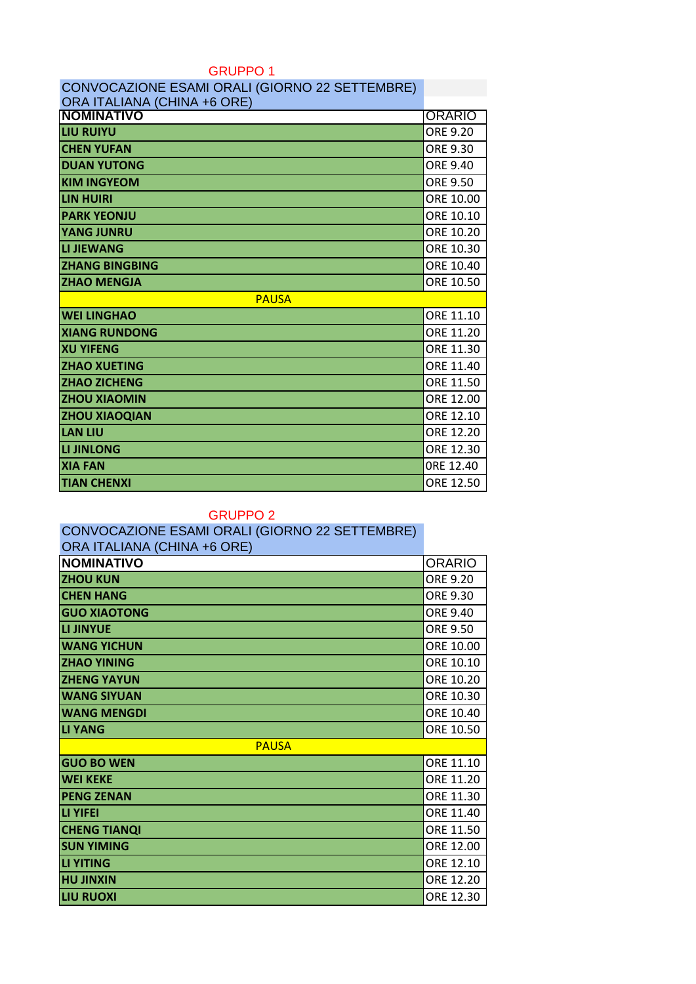### GRUPPO 1

| CONVOCAZIONE ESAMI ORALI (GIORNO 22 SETTEMBRE) |               |  |
|------------------------------------------------|---------------|--|
| ORA ITALIANA (CHINA +6 ORE)                    |               |  |
| <b>NOMINATIVO</b>                              | <b>ORARIO</b> |  |
| <b>LIU RUIYU</b>                               | ORE 9.20      |  |
| <b>CHEN YUFAN</b>                              | ORE 9.30      |  |
| <b>DUAN YUTONG</b>                             | ORE 9.40      |  |
| <b>KIM INGYEOM</b>                             | ORE 9.50      |  |
| <b>LIN HUIRI</b>                               | ORE 10.00     |  |
| <b>PARK YEONJU</b>                             | ORE 10.10     |  |
| <b>YANG JUNRU</b>                              | ORE 10.20     |  |
| <b>LI JIEWANG</b>                              | ORE 10.30     |  |
| <b>ZHANG BINGBING</b>                          | ORE 10.40     |  |
| <b>ZHAO MENGJA</b>                             | ORE 10.50     |  |
| <b>PAUSA</b>                                   |               |  |
| <b>WEI LINGHAO</b>                             | ORE 11.10     |  |
| <b>XIANG RUNDONG</b>                           | ORE 11.20     |  |
| <b>XU YIFENG</b>                               | ORE 11.30     |  |
| <b>ZHAO XUETING</b>                            | ORE 11.40     |  |
| <b>ZHAO ZICHENG</b>                            | ORE 11.50     |  |
| <b>ZHOU XIAOMIN</b>                            | ORE 12.00     |  |
| <b>ZHOU XIAOQIAN</b>                           | ORE 12.10     |  |
| <b>LAN LIU</b>                                 | ORE 12.20     |  |
| <b>LI JINLONG</b>                              | ORE 12.30     |  |
| <b>XIA FAN</b>                                 | ORE 12.40     |  |
| <b>TIAN CHENXI</b>                             | ORE 12.50     |  |

#### GRUPPO 2

# CONVOCAZIONE ESAMI ORALI (GIORNO 22 SETTEMBRE)

| ORA ITALIANA (CHINA +6 ORE) |               |  |
|-----------------------------|---------------|--|
| <b>NOMINATIVO</b>           | <b>ORARIO</b> |  |
| <b>ZHOU KUN</b>             | ORE 9.20      |  |
| <b>CHEN HANG</b>            | ORE 9.30      |  |
| <b>GUO XIAOTONG</b>         | ORE 9.40      |  |
| LI JINYUE                   | ORE 9.50      |  |
| <b>WANG YICHUN</b>          | ORE 10.00     |  |
| <b>ZHAO YINING</b>          | ORE 10.10     |  |
| <b>ZHENG YAYUN</b>          | ORE 10.20     |  |
| <b>WANG SIYUAN</b>          | ORE 10.30     |  |
| <b>WANG MENGDI</b>          | ORE 10.40     |  |
| <b>LI YANG</b>              | ORE 10.50     |  |
| <b>PAUSA</b>                |               |  |
| <b>GUO BO WEN</b>           | ORE 11.10     |  |
| <b>WEI KEKE</b>             | ORE 11.20     |  |
| <b>PENG ZENAN</b>           | ORE 11.30     |  |
| LI YIFEI                    | ORE 11.40     |  |
| <b>CHENG TIANQI</b>         | ORE 11.50     |  |
| <b>SUN YIMING</b>           | ORE 12.00     |  |
| <b>LI YITING</b>            | ORE 12.10     |  |
| <b>HU JINXIN</b>            | ORE 12.20     |  |
| <b>LIU RUOXI</b>            | ORE 12.30     |  |